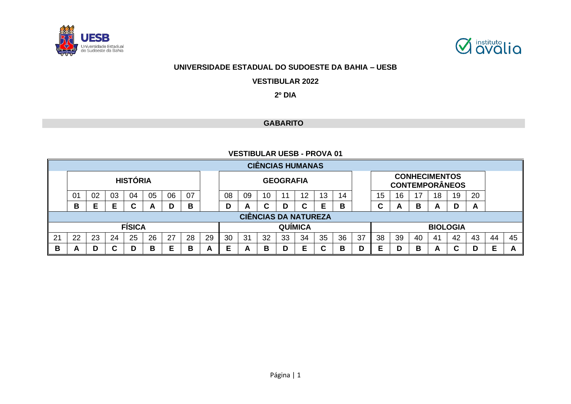



### **UNIVERSIDADE ESTADUAL DO SUDOESTE DA BAHIA – UESB**

**VESTIBULAR 2022**

**2º DIA**

## **GABARITO**

### **VESTIBULAR UESB - PROVA 01**

|                                                          |                                                                                  |    |    |                 |    |    |    |  |    |    |    |                  | <b>CIÊNCIAS HUMANAS</b> |    |    |    |                       |    |    |                 |    |    |  |  |
|----------------------------------------------------------|----------------------------------------------------------------------------------|----|----|-----------------|----|----|----|--|----|----|----|------------------|-------------------------|----|----|----|-----------------------|----|----|-----------------|----|----|--|--|
|                                                          |                                                                                  |    |    | <b>HISTÓRIA</b> |    |    |    |  |    |    |    | <b>GEOGRAFIA</b> |                         |    |    |    | <b>CONTEMPORÂNEOS</b> |    |    |                 |    |    |  |  |
|                                                          | 0 <sup>1</sup>                                                                   | 02 | 03 | 04              | 05 | 06 | 07 |  | 08 | 09 | 10 | -11              | 12                      | 13 | 14 |    | 15                    | 16 | 17 | 18              | 19 | 20 |  |  |
|                                                          | В                                                                                |    | Е  | C               | A  | D  | B  |  | D  | A  | С  |                  | C                       |    | B  |    | ⌒<br>◡                | A  | B  | A               | D  | A  |  |  |
|                                                          | <b>CIÊNCIAS DA NATUREZA</b>                                                      |    |    |                 |    |    |    |  |    |    |    |                  |                         |    |    |    |                       |    |    |                 |    |    |  |  |
|                                                          | <b>FÍSICA</b><br><b>QUÍMICA</b>                                                  |    |    |                 |    |    |    |  |    |    |    |                  |                         |    |    |    |                       |    |    | <b>BIOLOGIA</b> |    |    |  |  |
| 21                                                       | 25<br>26<br>28<br>29<br>30<br>35<br>22<br>23<br>27<br>32<br>34<br>24<br>31<br>33 |    |    |                 |    |    |    |  |    |    |    | 36               | 37                      | 38 | 39 | 40 | 41                    | 42 | 43 | 44              | 45 |    |  |  |
| Е<br>в<br>В<br>B<br>C<br>Е<br>В<br>D<br>D<br>A<br>A<br>A |                                                                                  |    |    |                 |    |    |    |  |    |    | Е  |                  | B                       | D  | Е  |    | B                     | A  | C  |                 | Е  | A  |  |  |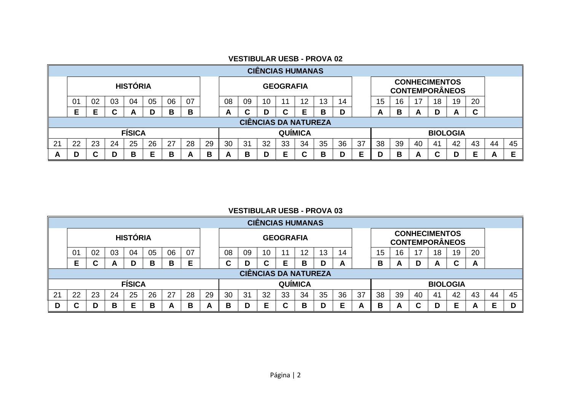|   | <b>CIÊNCIAS HUMANAS</b>     |    |        |                 |    |    |    |    |                |    |    |                  |    |    |    |    |                                               |    |    |    |                 |        |    |    |
|---|-----------------------------|----|--------|-----------------|----|----|----|----|----------------|----|----|------------------|----|----|----|----|-----------------------------------------------|----|----|----|-----------------|--------|----|----|
|   |                             |    |        | <b>HISTÓRIA</b> |    |    |    |    |                |    |    | <b>GEOGRAFIA</b> |    |    |    |    | <b>CONHECIMENTOS</b><br><b>CONTEMPORÂNEOS</b> |    |    |    |                 |        |    |    |
|   | 01                          | 02 | 03     | 04              | 05 | 06 | 07 |    | 08             | 09 | 10 |                  | 12 | 13 | 14 |    | 20<br>15<br>17<br>19<br>16<br>18              |    |    |    |                 |        |    |    |
|   | E                           |    | ⌒<br>u | <u>r</u>        | D  | в  | В  |    | A              |    | D  |                  | Е  | в  | D  |    | А                                             | в  | A  | D  | A               | ~<br>u |    |    |
|   | <b>CIÊNCIAS DA NATUREZA</b> |    |        |                 |    |    |    |    |                |    |    |                  |    |    |    |    |                                               |    |    |    |                 |        |    |    |
|   |                             |    |        | <b>FÍSICA</b>   |    |    |    |    | <b>QUÍMICA</b> |    |    |                  |    |    |    |    |                                               |    |    |    | <b>BIOLOGIA</b> |        |    |    |
| ິ | 22                          | 23 | 24     | 25              | 26 | 27 | 28 | 29 | 30             | 31 | 32 | 33               | 34 | 35 | 36 | 37 | 38                                            | 39 | 40 | 41 | 42              | 43     | 44 | 45 |
| A | D                           |    |        | в               | Е  | в  | A  | в  | A              | В  | D  |                  | C  | в  | D  |    | D                                             | в  | A  |    | D               | Е      | А  |    |

#### **VESTIBULAR UESB - PROVA 02**

### **VESTIBULAR UESB - PROVA 03**

|    |                                 |        |    |                 |    |    |    |               |    |    |    |                  | <b>CIÊNCIAS HUMANAS</b> |    |    |    |                       |    |    |                 |    |    |    |    |
|----|---------------------------------|--------|----|-----------------|----|----|----|---------------|----|----|----|------------------|-------------------------|----|----|----|-----------------------|----|----|-----------------|----|----|----|----|
|    |                                 |        |    | <b>HISTÓRIA</b> |    |    |    |               |    |    |    | <b>GEOGRAFIA</b> |                         |    |    |    | <b>CONTEMPORÂNEOS</b> |    |    |                 |    |    |    |    |
|    | 01                              | 02     | 03 | 04              | 05 | 06 | 07 |               | 08 | 09 | 10 |                  | 12                      | 13 | 14 |    | 15                    | 16 | 17 | 18              | 19 | 20 |    |    |
|    | Е                               | r<br>u | A  | D               | в  | в  | Е  |               | С  |    | C  |                  | В                       | D  | A  |    | в                     | A  | D  | A               | С  | A  |    |    |
|    | <b>CIÊNCIAS DA NATUREZA</b>     |        |    |                 |    |    |    |               |    |    |    |                  |                         |    |    |    |                       |    |    |                 |    |    |    |    |
|    | <b>FÍSICA</b><br><b>QUÍMICA</b> |        |    |                 |    |    |    |               |    |    |    |                  |                         |    |    |    |                       |    |    | <b>BIOLOGIA</b> |    |    |    |    |
| 21 | 22                              | 23     | 24 | 25              | 26 | 27 | 28 | 29            | 30 | 31 | 32 | 33               | 34                      | 35 | 36 | 37 | 38                    | 39 | 40 | -41             | 42 | 43 | 44 | 45 |
|    |                                 | D      | B  | Е               | в  | A  | В  | Δ<br><b>1</b> | в  |    | Е  | ◠                | B                       |    | Е  |    | в                     |    | C  |                 | Е  | A  | Е  |    |